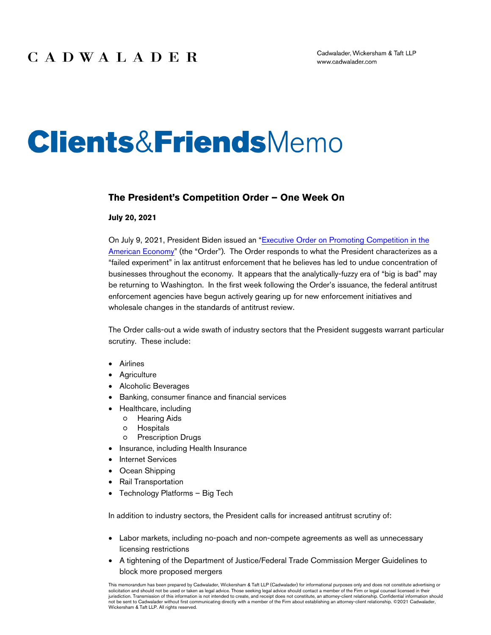# **Clients&Friends**Memo

#### **The President's Competition Order – One Week On**

#### **July 20, 2021**

On July 9, 2021, President Biden issued an ["Executive Order on Promoting Competition in the](https://www.whitehouse.gov/briefing-room/presidential-actions/2021/07/09/executive-order-on-promoting-competition-in-the-american-economy/)  [American Economy"](https://www.whitehouse.gov/briefing-room/presidential-actions/2021/07/09/executive-order-on-promoting-competition-in-the-american-economy/) (the "Order"). The Order responds to what the President characterizes as a "failed experiment" in lax antitrust enforcement that he believes has led to undue concentration of businesses throughout the economy. It appears that the analytically-fuzzy era of "big is bad" may be returning to Washington. In the first week following the Order's issuance, the federal antitrust enforcement agencies have begun actively gearing up for new enforcement initiatives and wholesale changes in the standards of antitrust review.

The Order calls-out a wide swath of industry sectors that the President suggests warrant particular scrutiny. These include:

- Airlines
- **Agriculture**
- Alcoholic Beverages
- Banking, consumer finance and financial services
	- Healthcare, including
		- Hearing Aids
		- Hospitals
		- Prescription Drugs
- Insurance, including Health Insurance
- **Internet Services**
- Ocean Shipping
- Rail Transportation
- Technology Platforms Big Tech

In addition to industry sectors, the President calls for increased antitrust scrutiny of:

- Labor markets, including no-poach and non-compete agreements as well as unnecessary licensing restrictions
- A tightening of the Department of Justice/Federal Trade Commission Merger Guidelines to block more proposed mergers

This memorandum has been prepared by Cadwalader, Wickersham & Taft LLP (Cadwalader) for informational purposes only and does not constitute advertising or solicitation and should not be used or taken as legal advice. Those seeking legal advice should contact a member of the Firm or legal counsel licensed in their jurisdiction. Transmission of this information is not intended to create, and receipt does not constitute, an attorney-client relationship. Confidential information should not be sent to Cadwalader without first communicating directly with a member of the Firm about establishing an attorney-client relationship. ©2021 Cadwalader, Wickersham & Taft LLP. All rights reserved.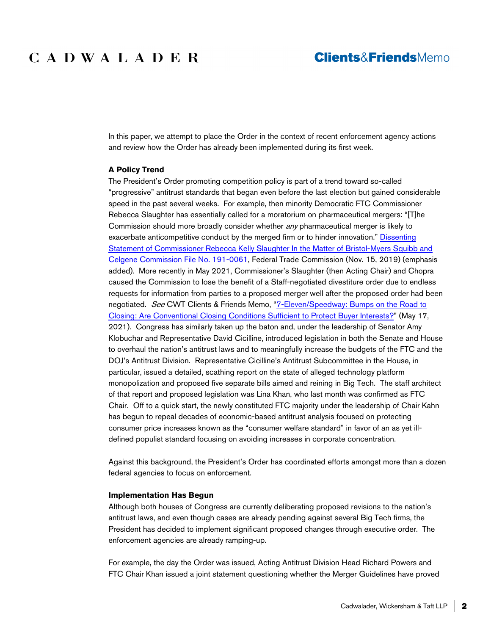# CADWALADER

## **Clients&FriendsMemo**

In this paper, we attempt to place the Order in the context of recent enforcement agency actions and review how the Order has already been implemented during its first week.

#### **A Policy Trend**

The President's Order promoting competition policy is part of a trend toward so-called "progressive" antitrust standards that began even before the last election but gained considerable speed in the past several weeks. For example, then minority Democratic FTC Commissioner Rebecca Slaughter has essentially called for a moratorium on pharmaceutical mergers: "[T]he Commission should more broadly consider whether *any* pharmaceutical merger is likely to exacerbate anticompetitive conduct by the merged firm or to hinder innovation." [Dissenting](https://www.ftc.gov/system/files/documents/public_statements/1554283/17_-_final_rks_bms-celgene_statement.pdf)  [Statement of Commissioner Rebecca Kelly Slaughter In the Matter of Bristol-Myers Squibb and](https://www.ftc.gov/system/files/documents/public_statements/1554283/17_-_final_rks_bms-celgene_statement.pdf)  [Celgene Commission File No. 191-0061,](https://www.ftc.gov/system/files/documents/public_statements/1554283/17_-_final_rks_bms-celgene_statement.pdf) Federal Trade Commission (Nov. 15, 2019) (emphasis added). More recently in May 2021, Commissioner's Slaughter (then Acting Chair) and Chopra caused the Commission to lose the benefit of a Staff-negotiated divestiture order due to endless requests for information from parties to a proposed merger well after the proposed order had been negotiated. See CWT Clients & Friends Memo, ["7-Eleven/Speedway: Bumps on the Road to](https://www.cadwalader.com/resources/clients-friends-memos/7-elevenspeedway-bumps-on-the-road-to-closing-are-conventional-closing-conditions-sufficient-to-protect-buyer-interests)  [Closing: Are Conventional Closing Conditions Sufficient to Protect Buyer Interests?"](https://www.cadwalader.com/resources/clients-friends-memos/7-elevenspeedway-bumps-on-the-road-to-closing-are-conventional-closing-conditions-sufficient-to-protect-buyer-interests) (May 17, 2021). Congress has similarly taken up the baton and, under the leadership of Senator Amy Klobuchar and Representative David Cicilline, introduced legislation in both the Senate and House to overhaul the nation's antitrust laws and to meaningfully increase the budgets of the FTC and the DOJ's Antitrust Division. Representative Cicilline's Antitrust Subcommittee in the House, in particular, issued a detailed, scathing report on the state of alleged technology platform monopolization and proposed five separate bills aimed and reining in Big Tech. The staff architect of that report and proposed legislation was Lina Khan, who last month was confirmed as FTC Chair. Off to a quick start, the newly constituted FTC majority under the leadership of Chair Kahn has begun to repeal decades of economic-based antitrust analysis focused on protecting consumer price increases known as the "consumer welfare standard" in favor of an as yet illdefined populist standard focusing on avoiding increases in corporate concentration.

Against this background, the President's Order has coordinated efforts amongst more than a dozen federal agencies to focus on enforcement.

#### **Implementation Has Begun**

Although both houses of Congress are currently deliberating proposed revisions to the nation's antitrust laws, and even though cases are already pending against several Big Tech firms, the President has decided to implement significant proposed changes through executive order. The enforcement agencies are already ramping-up.

For example, the day the Order was issued, Acting Antitrust Division Head Richard Powers and FTC Chair Khan issued a joint statement questioning whether the Merger Guidelines have proved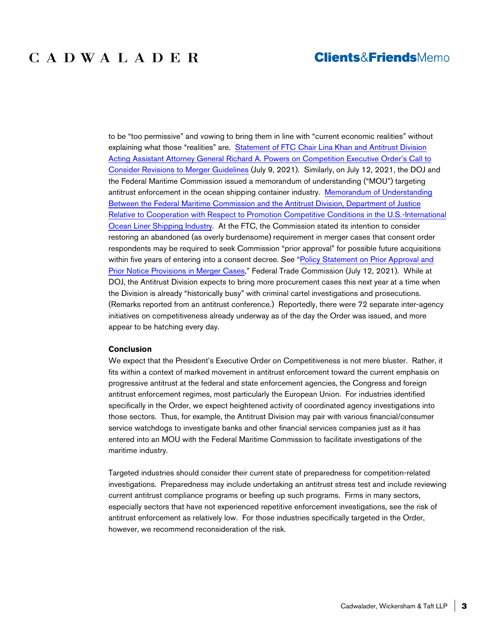## CADWALADER

### **Clients&FriendsMemo**

to be "too permissive" and vowing to bring them in line with "current economic realities" without explaining what those "realities" are. [Statement of FTC Chair Lina Khan and Antitrust Division](https://www.ftc.gov/news-events/press-releases/2021/07/statement-ftc-chair-lina-khan-antitrust-division-acting-assistant)  [Acting Assistant Attorney General Richard A. Powers on Competition Executive Order's Call to](https://www.ftc.gov/news-events/press-releases/2021/07/statement-ftc-chair-lina-khan-antitrust-division-acting-assistant)  [Consider Revisions to Merger Guidelines](https://www.ftc.gov/news-events/press-releases/2021/07/statement-ftc-chair-lina-khan-antitrust-division-acting-assistant) (July 9, 2021). Similarly, on July 12, 2021, the DOJ and the Federal Maritime Commission issued a memorandum of understanding ("MOU") targeting antitrust enforcement in the ocean shipping container industry. [Memorandum of Understanding](https://www.justice.gov/opa/press-release/file/1411101/download)  [Between the Federal Maritime Commission and the Antitrust Division, Department of Justice](https://www.justice.gov/opa/press-release/file/1411101/download)  [Relative to Cooperation with Respect to Promotion Competitive Conditions in the U.S.-International](https://www.justice.gov/opa/press-release/file/1411101/download)  [Ocean Liner Shipping Industry.](https://www.justice.gov/opa/press-release/file/1411101/download) At the FTC, the Commission stated its intention to consider restoring an abandoned (as overly burdensome) requirement in merger cases that consent order respondents may be required to seek Commission "prior approval" for possible future acquisitions within five years of entering into a consent decree. See ["Policy Statement on Prior Approval and](https://www.ftc.gov/system/files/documents/public_statements/410471/frnpriorapproval.pdf)  [Prior Notice Provisions in Merger Cases,"](https://www.ftc.gov/system/files/documents/public_statements/410471/frnpriorapproval.pdf) Federal Trade Commission (July 12, 2021). While at DOJ, the Antitrust Division expects to bring more procurement cases this next year at a time when the Division is already "historically busy" with criminal cartel investigations and prosecutions. (Remarks reported from an antitrust conference.) Reportedly, there were 72 separate inter-agency initiatives on competitiveness already underway as of the day the Order was issued, and more appear to be hatching every day.

#### **Conclusion**

We expect that the President's Executive Order on Competitiveness is not mere bluster. Rather, it fits within a context of marked movement in antitrust enforcement toward the current emphasis on progressive antitrust at the federal and state enforcement agencies, the Congress and foreign antitrust enforcement regimes, most particularly the European Union. For industries identified specifically in the Order, we expect heightened activity of coordinated agency investigations into those sectors. Thus, for example, the Antitrust Division may pair with various financial/consumer service watchdogs to investigate banks and other financial services companies just as it has entered into an MOU with the Federal Maritime Commission to facilitate investigations of the maritime industry.

Targeted industries should consider their current state of preparedness for competition-related investigations. Preparedness may include undertaking an antitrust stress test and include reviewing current antitrust compliance programs or beefing up such programs. Firms in many sectors, especially sectors that have not experienced repetitive enforcement investigations, see the risk of antitrust enforcement as relatively low. For those industries specifically targeted in the Order, however, we recommend reconsideration of the risk.